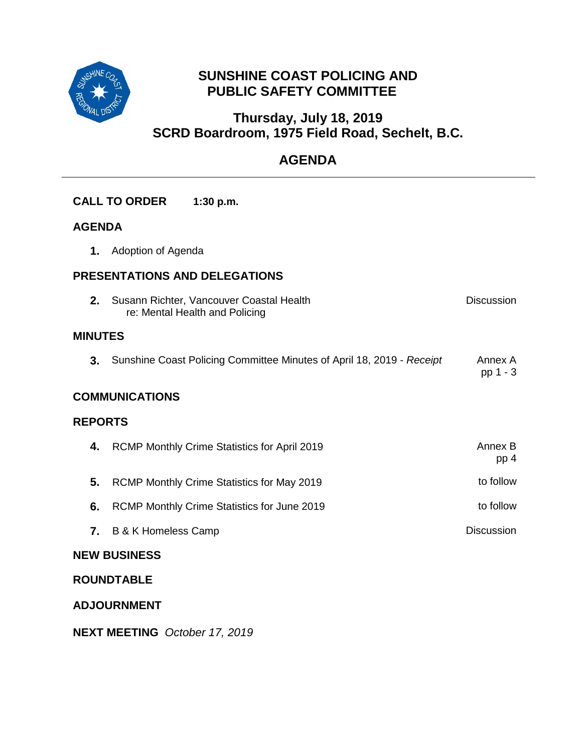

# **SUNSHINE COAST POLICING AND PUBLIC SAFETY COMMITTEE**

# **Thursday, July 18, 2019 SCRD Boardroom, 1975 Field Road, Sechelt, B.C.**

# **AGENDA**

|                                      | <b>CALL TO ORDER</b>                                                                            | 1:30 p.m.                                                             |                     |  |  |  |
|--------------------------------------|-------------------------------------------------------------------------------------------------|-----------------------------------------------------------------------|---------------------|--|--|--|
| <b>AGENDA</b>                        |                                                                                                 |                                                                       |                     |  |  |  |
| 1.                                   | Adoption of Agenda                                                                              |                                                                       |                     |  |  |  |
| <b>PRESENTATIONS AND DELEGATIONS</b> |                                                                                                 |                                                                       |                     |  |  |  |
| 2.                                   | <b>Discussion</b><br>Susann Richter, Vancouver Coastal Health<br>re: Mental Health and Policing |                                                                       |                     |  |  |  |
|                                      | <b>MINUTES</b>                                                                                  |                                                                       |                     |  |  |  |
| 3.                                   |                                                                                                 | Sunshine Coast Policing Committee Minutes of April 18, 2019 - Receipt | Annex A<br>pp 1 - 3 |  |  |  |
| <b>COMMUNICATIONS</b>                |                                                                                                 |                                                                       |                     |  |  |  |
| <b>REPORTS</b>                       |                                                                                                 |                                                                       |                     |  |  |  |
| 4.                                   |                                                                                                 | RCMP Monthly Crime Statistics for April 2019                          | Annex B<br>pp 4     |  |  |  |
| 5.                                   |                                                                                                 | RCMP Monthly Crime Statistics for May 2019                            | to follow           |  |  |  |
| 6.                                   |                                                                                                 | RCMP Monthly Crime Statistics for June 2019                           | to follow           |  |  |  |
| 7.                                   | <b>B &amp; K Homeless Camp</b>                                                                  |                                                                       | <b>Discussion</b>   |  |  |  |
| <b>NEW BUSINESS</b>                  |                                                                                                 |                                                                       |                     |  |  |  |
| <b>ROUNDTABLE</b>                    |                                                                                                 |                                                                       |                     |  |  |  |
| <b>ADJOURNMENT</b>                   |                                                                                                 |                                                                       |                     |  |  |  |

**NEXT MEETING** *October 17, 2019*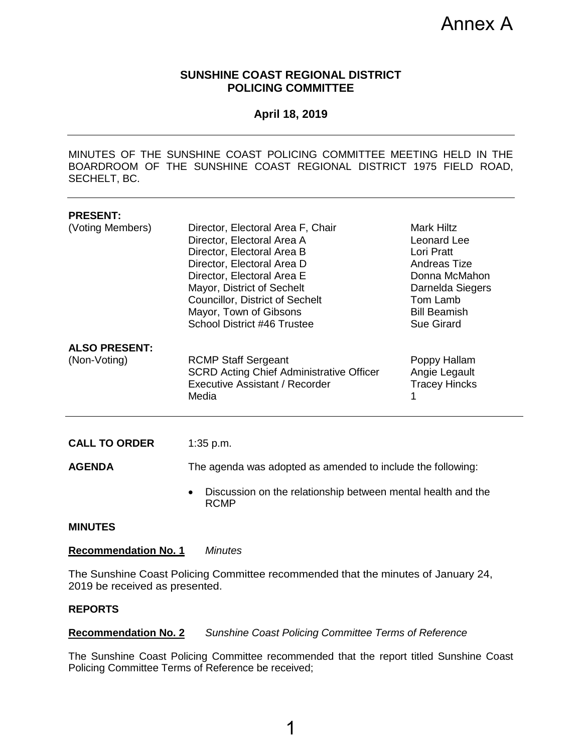Annex A

## **SUNSHINE COAST REGIONAL DISTRICT POLICING COMMITTEE**

#### **April 18, 2019**

<span id="page-1-0"></span>MINUTES OF THE SUNSHINE COAST POLICING COMMITTEE MEETING HELD IN THE BOARDROOM OF THE SUNSHINE COAST REGIONAL DISTRICT 1975 FIELD ROAD, SECHELT, BC.

| <b>PRESENT:</b><br>(Voting Members)   | Director, Electoral Area F, Chair<br>Director, Electoral Area A<br>Director, Electoral Area B<br>Director, Electoral Area D<br>Director, Electoral Area E<br>Mayor, District of Sechelt<br><b>Councillor, District of Sechelt</b><br>Mayor, Town of Gibsons<br>School District #46 Trustee | <b>Mark Hiltz</b><br>Leonard Lee<br>Lori Pratt<br><b>Andreas Tize</b><br>Donna McMahon<br>Darnelda Siegers<br>Tom Lamb<br><b>Bill Beamish</b><br><b>Sue Girard</b> |  |  |
|---------------------------------------|--------------------------------------------------------------------------------------------------------------------------------------------------------------------------------------------------------------------------------------------------------------------------------------------|--------------------------------------------------------------------------------------------------------------------------------------------------------------------|--|--|
| <b>ALSO PRESENT:</b><br>(Non-Voting)  | <b>RCMP Staff Sergeant</b><br><b>SCRD Acting Chief Administrative Officer</b><br><b>Executive Assistant / Recorder</b><br>Media                                                                                                                                                            | Poppy Hallam<br>Angie Legault<br><b>Tracey Hincks</b><br>1                                                                                                         |  |  |
| <b>CALL TO ORDER</b><br><b>AGENDA</b> | $1:35$ p.m.<br>The agenda was adopted as amended to include the following:<br>Discussion on the relationship between mental health and the<br>$\bullet$<br><b>RCMP</b>                                                                                                                     |                                                                                                                                                                    |  |  |
| <b>MINUTES</b>                        |                                                                                                                                                                                                                                                                                            |                                                                                                                                                                    |  |  |

### **Recommendation No. 1** *Minutes*

The Sunshine Coast Policing Committee recommended that the minutes of January 24, 2019 be received as presented.

#### **REPORTS**

### **Recommendation No. 2** *Sunshine Coast Policing Committee Terms of Reference*

The Sunshine Coast Policing Committee recommended that the report titled Sunshine Coast Policing Committee Terms of Reference be received;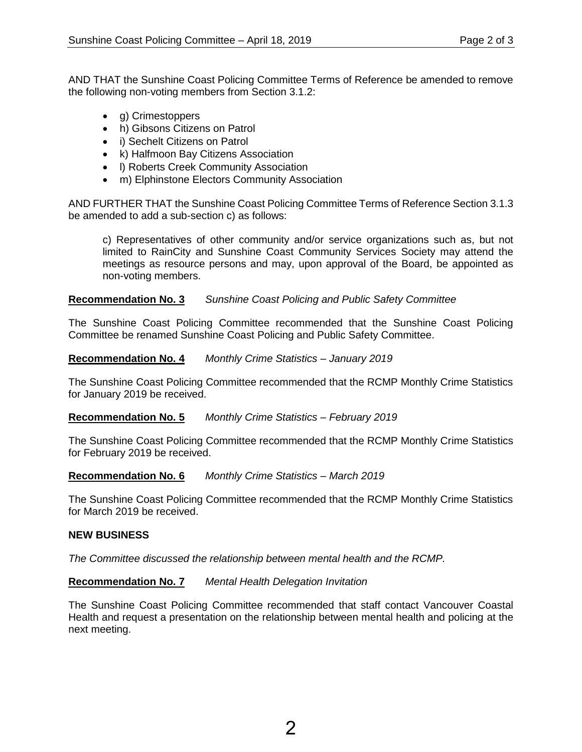AND THAT the Sunshine Coast Policing Committee Terms of Reference be amended to remove the following non-voting members from Section 3.1.2:

- g) Crimestoppers
- h) Gibsons Citizens on Patrol
- i) Sechelt Citizens on Patrol
- k) Halfmoon Bay Citizens Association
- I) Roberts Creek Community Association
- m) Elphinstone Electors Community Association

AND FURTHER THAT the Sunshine Coast Policing Committee Terms of Reference Section 3.1.3 be amended to add a sub-section c) as follows:

c) Representatives of other community and/or service organizations such as, but not limited to RainCity and Sunshine Coast Community Services Society may attend the meetings as resource persons and may, upon approval of the Board, be appointed as non-voting members.

## **Recommendation No. 3** *Sunshine Coast Policing and Public Safety Committee*

The Sunshine Coast Policing Committee recommended that the Sunshine Coast Policing Committee be renamed Sunshine Coast Policing and Public Safety Committee.

#### **Recommendation No. 4** *Monthly Crime Statistics – January 2019*

The Sunshine Coast Policing Committee recommended that the RCMP Monthly Crime Statistics for January 2019 be received.

#### **Recommendation No. 5** *Monthly Crime Statistics – February 2019*

The Sunshine Coast Policing Committee recommended that the RCMP Monthly Crime Statistics for February 2019 be received.

#### **Recommendation No. 6** *Monthly Crime Statistics – March 2019*

The Sunshine Coast Policing Committee recommended that the RCMP Monthly Crime Statistics for March 2019 be received.

#### **NEW BUSINESS**

*The Committee discussed the relationship between mental health and the RCMP.* 

## **Recommendation No. 7** *Mental Health Delegation Invitation*

The Sunshine Coast Policing Committee recommended that staff contact Vancouver Coastal Health and request a presentation on the relationship between mental health and policing at the next meeting.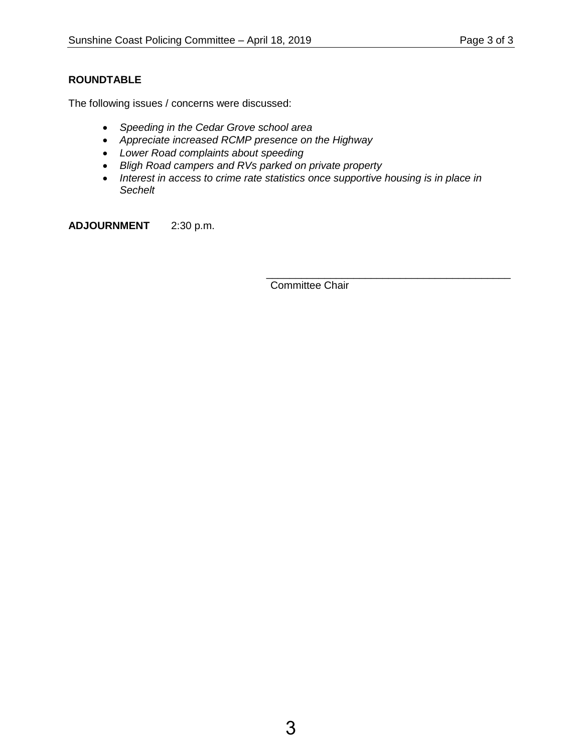# **ROUNDTABLE**

The following issues / concerns were discussed:

- *Speeding in the Cedar Grove school area*
- *Appreciate increased RCMP presence on the Highway*
- *Lower Road complaints about speeding*
- *Bligh Road campers and RVs parked on private property*
- Interest in access to crime rate statistics once supportive housing is in place in *Sechelt*

**ADJOURNMENT** 2:30 p.m.

Committee Chair

\_\_\_\_\_\_\_\_\_\_\_\_\_\_\_\_\_\_\_\_\_\_\_\_\_\_\_\_\_\_\_\_\_\_\_\_\_\_\_\_\_\_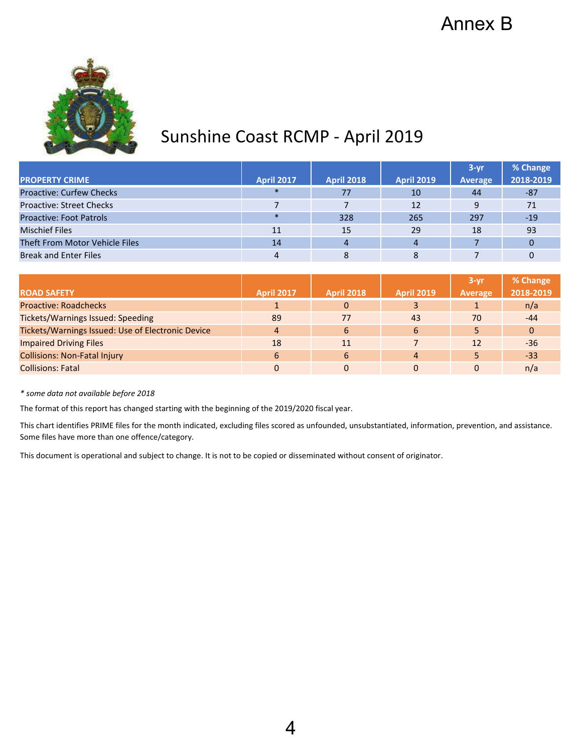<span id="page-4-0"></span>

# Sunshine Coast RCMP - April 2019

|                                 |                   |                   |                   | $3 - yr$ | % Change  |
|---------------------------------|-------------------|-------------------|-------------------|----------|-----------|
| <b>PROPERTY CRIME</b>           | <b>April 2017</b> | <b>April 2018</b> | <b>April 2019</b> | Average  | 2018-2019 |
| <b>Proactive: Curfew Checks</b> | $\ast$            | 77                | 10                | 44       | -87       |
| <b>Proactive: Street Checks</b> |                   |                   | 12                |          | 71        |
| <b>Proactive: Foot Patrols</b>  | $\ast$            | 328               | 265               | 297      | $-19$     |
| <b>Mischief Files</b>           | 11                | 15                | 29                | 18       | 93        |
| Theft From Motor Vehicle Files  | 14                |                   | $\overline{4}$    |          | 0         |
| <b>Break and Enter Files</b>    |                   |                   |                   |          |           |

|                                                   |                   |                   |                   | $3 - vr$ | % Change  |
|---------------------------------------------------|-------------------|-------------------|-------------------|----------|-----------|
| <b>ROAD SAFETY</b>                                | <b>April 2017</b> | <b>April 2018</b> | <b>April 2019</b> | Average  | 2018-2019 |
| <b>Proactive: Roadchecks</b>                      |                   | $\Omega$          |                   |          | n/a       |
| <b>Tickets/Warnings Issued: Speeding</b>          | 89                | 77                | 43                | 70       | $-44$     |
| Tickets/Warnings Issued: Use of Electronic Device | 4                 | 6                 | 6                 |          | $\Omega$  |
| <b>Impaired Driving Files</b>                     | 18                |                   |                   | 12       | $-36$     |
| <b>Collisions: Non-Fatal Injury</b>               | 6                 | 6                 | $\overline{4}$    |          | $-33$     |
| <b>Collisions: Fatal</b>                          |                   |                   |                   |          | n/a       |

*\* some data not available before 2018*

The format of this report has changed starting with the beginning of the 2019/2020 fiscal year.

This chart identifies PRIME files for the month indicated, excluding files scored as unfounded, unsubstantiated, information, prevention, and assistance. Some files have more than one offence/category.

This document is operational and subject to change. It is not to be copied or disseminated without consent of originator.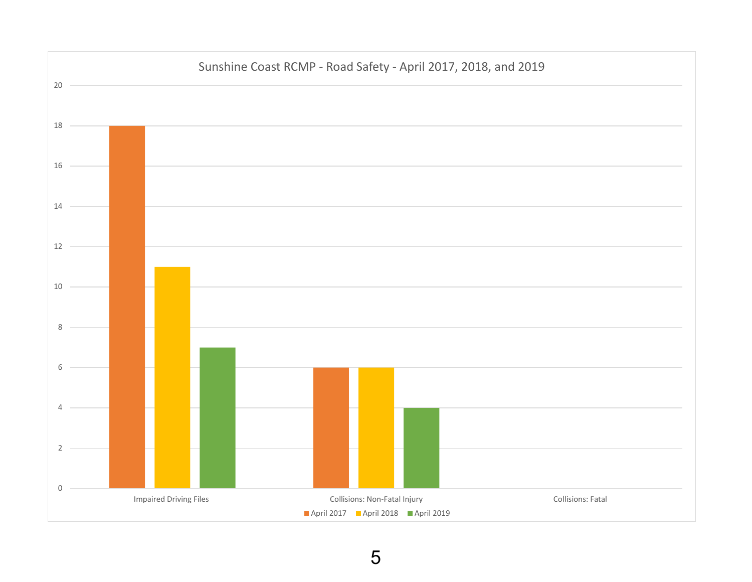